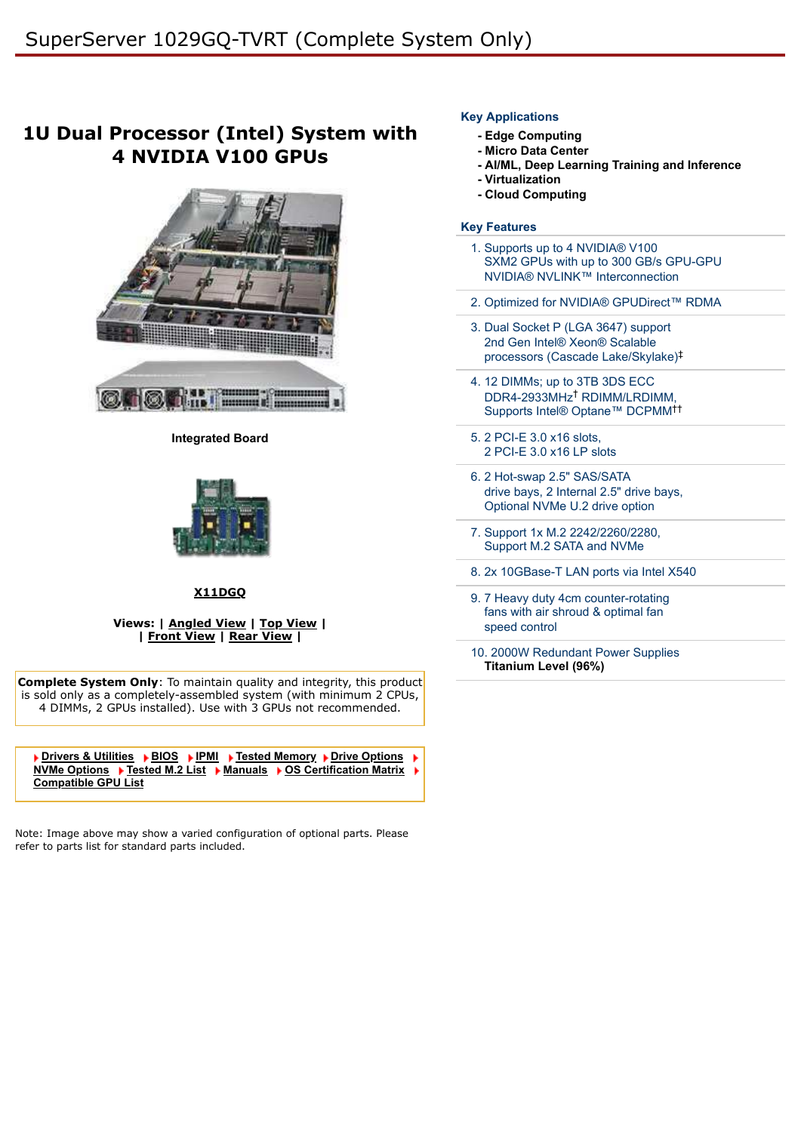# **1U Dual Processor (Intel) System with 4 NVIDIA V100 GPUs**



**Integrated Board**



#### **[X11DGQ](https://www.supermicro.com/products/motherboard/Xeon/C620/X11DGQ.cfm)**

#### **Views: | [Angled View](https://www.supermicro.com/a_images/products/views/1029GQ-TVRT_angle.jpg) | [Top View](https://www.supermicro.com/a_images/products/views/1029GQ-TVRT_top.jpg) | | [Front View](https://www.supermicro.com/a_images/products/views/1029GQ-TVRT_front.jpg) | [Rear View](https://www.supermicro.com/a_images/products/views/1029GQ-TVRT_rear.jpg) |**

**Complete System Only:** To maintain quality and integrity, this product is sold only as a completely-assembled system (with minimum 2 CPUs, 4 DIMMs, 2 GPUs installed). Use with 3 GPUs not recommended.

**[Drivers & Utilities](javascript:document.driversForm.submit();)** ▶ [BIOS](javascript:document.biosForm.submit();) ▶ [IPMI](javascript:document.ipmiForm.submit();) ▶ [Tested Memory](javascript:document.memoryForm.submit();) ▶ [Drive Options](javascript:document.HDDForm.submit();) **[NVMe Options](javascript:document.NVMeForm.submit();) ▶ [Tested M.2 List](https://www.supermicro.com/en/support/resources/m2ssd?SystemID=86196&ProductName=SS1029GQ-TVRT) ▶ [Manuals](javascript:document.manualForm.submit();) ▶ [OS Certification Matrix](https://www.supermicro.com/support/resources/OS/OS_Certification_Intel.cfm?MProduct_Name=SYS%2D1029GQ%2DTVRT) [Compatible GPU List](https://www.supermicro.com/en/support/resources/gpu)**

Note: Image above may show a varied configuration of optional parts. Please refer to parts list for standard parts included.

### **Key Applications**

- **Edge Computing**
- **Micro Data Center**
- **AI/ML, Deep Learning Training and Inference**
- **Virtualization**
- **Cloud Computing**

## **Key Features**

- 1. Supports up to 4 NVIDIA® V100 SXM2 GPUs with up to 300 GB/s GPU-GPU NVIDIA® NVLINK™ Interconnection
- 2. Optimized for NVIDIA® GPUDirect™ RDMA
- 3. Dual Socket P (LGA 3647) support 2nd Gen Intel® Xeon® Scalable processors (Cascade Lake/Skylake) ‡
- 4. 12 DIMMs; up to 3TB 3DS ECC DDR4-2933MHz<sup>†</sup> RDIMM/LRDIMM, Supports Intel® Optane™ DCPMM ††
- 5. 2 PCI-E 3.0 x16 slots, 2 PCI-E 3.0 x16 LP slots
- 6. 2 Hot-swap 2.5" SAS/SATA drive bays, 2 Internal 2.5" drive bays, Optional NVMe U.2 drive option
- 7. Support 1x M.2 2242/2260/2280, Support M.2 SATA and NVMe
- 8. 2x 10GBase-T LAN ports via Intel X540
- 9. 7 Heavy duty 4cm counter-rotating fans with air shroud & optimal fan speed control
- 10. 2000W Redundant Power Supplies **Titanium Level (96%)**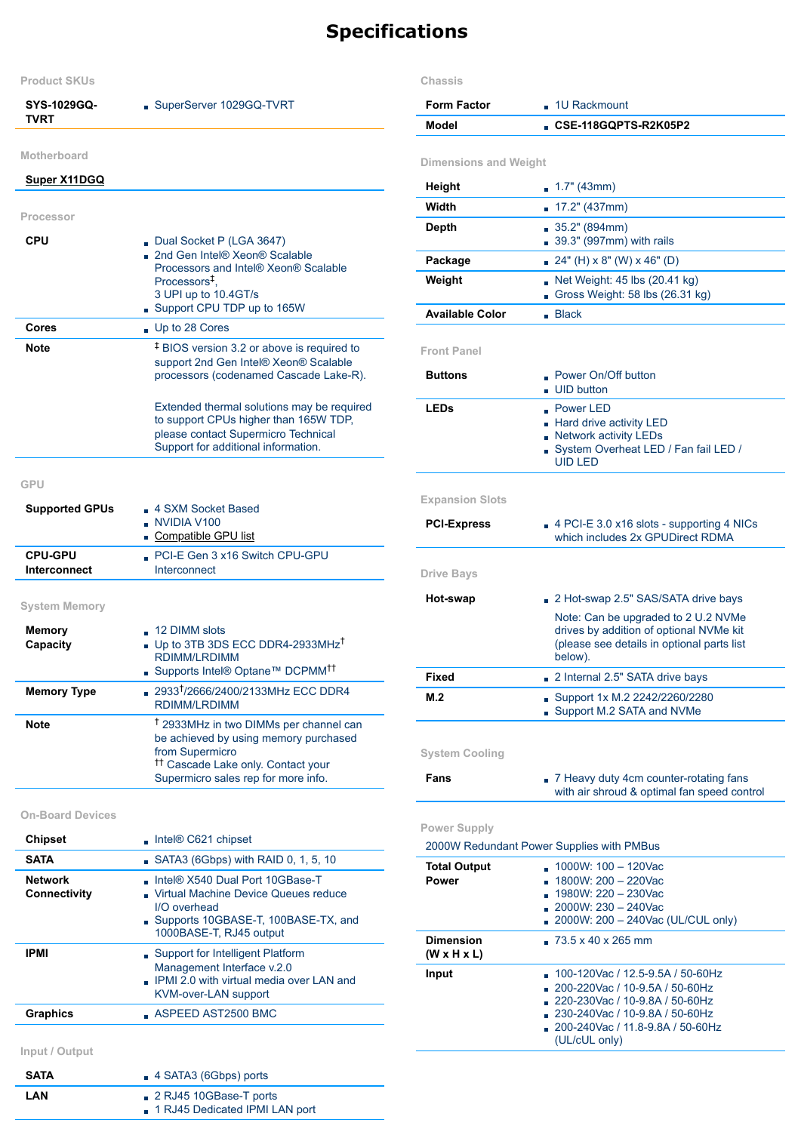# **Specifications**

| <b>Product SKUs</b>                               |                                                                                                                                                                                                       |  |  |  |
|---------------------------------------------------|-------------------------------------------------------------------------------------------------------------------------------------------------------------------------------------------------------|--|--|--|
| SYS-1029GQ-<br><b>TVRT</b>                        | SuperServer 1029GQ-TVRT                                                                                                                                                                               |  |  |  |
| <b>Motherboard</b>                                |                                                                                                                                                                                                       |  |  |  |
| <b>Super X11DGQ</b>                               |                                                                                                                                                                                                       |  |  |  |
| Processor                                         |                                                                                                                                                                                                       |  |  |  |
| CPU                                               | Dual Socket P (LGA 3647)<br>2nd Gen Intel® Xeon® Scalable<br>Processors and Intel® Xeon® Scalable<br>Processors <sup>‡</sup> .<br>3 UPI up to 10.4GT/s<br>Support CPU TDP up to 165W                  |  |  |  |
| Cores                                             | Up to 28 Cores                                                                                                                                                                                        |  |  |  |
| Note                                              | <sup>‡</sup> BIOS version 3.2 or above is required to<br>support 2nd Gen Intel® Xeon® Scalable<br>processors (codenamed Cascade Lake-R).                                                              |  |  |  |
|                                                   | Extended thermal solutions may be required<br>to support CPUs higher than 165W TDP,<br>please contact Supermicro Technical<br>Support for additional information.                                     |  |  |  |
| <b>GPU</b>                                        |                                                                                                                                                                                                       |  |  |  |
| <b>Supported GPUs</b>                             | ■ 4 SXM Socket Based<br>$\blacksquare$ NVIDIA V100<br>Compatible GPU list                                                                                                                             |  |  |  |
| <b>CPU-GPU</b><br>Interconnect                    | PCI-E Gen 3 x16 Switch CPU-GPU<br>Interconnect                                                                                                                                                        |  |  |  |
|                                                   |                                                                                                                                                                                                       |  |  |  |
| <b>System Memory</b><br><b>Memory</b><br>Capacity | $\Box$ 12 DIMM slots<br>Up to 3TB 3DS ECC DDR4-2933MHz <sup>T</sup><br>RDIMM/LRDIMM<br>■ Supports Intel® Optane™ DCPMM <sup>††</sup>                                                                  |  |  |  |
| <b>Memory Type</b>                                | 2933 <sup>†</sup> /2666/2400/2133MHz ECC DDR4<br><b>RDIMM/LRDIMM</b>                                                                                                                                  |  |  |  |
| Note                                              | <sup>†</sup> 2933MHz in two DIMMs per channel can<br>be achieved by using memory purchased<br>from Supermicro<br><sup>11</sup> Cascade Lake only. Contact your<br>Supermicro sales rep for more info. |  |  |  |
| <b>On-Board Devices</b>                           |                                                                                                                                                                                                       |  |  |  |
| <b>Chipset</b>                                    | Intel® C621 chipset                                                                                                                                                                                   |  |  |  |
| <b>SATA</b>                                       | $\blacksquare$ SATA3 (6Gbps) with RAID 0, 1, 5, 10                                                                                                                                                    |  |  |  |
| <b>Network</b><br>Connectivity                    | Intel® X540 Dual Port 10GBase-T<br>Virtual Machine Device Queues reduce<br>I/O overhead<br>Supports 10GBASE-T, 100BASE-TX, and<br>1000BASE-T, RJ45 output                                             |  |  |  |
| <b>IPMI</b>                                       | Support for Intelligent Platform<br>Management Interface v.2.0<br><b>PMI 2.0 with virtual media over LAN and</b><br><b>KVM-over-LAN support</b>                                                       |  |  |  |
| <b>Graphics</b>                                   | $\blacksquare$ ASPEED AST2500 BMC                                                                                                                                                                     |  |  |  |

**Input / Output**

| <b>SATA</b> | $\blacksquare$ 4 SATA3 (6Gbps) ports                       |
|-------------|------------------------------------------------------------|
| LAN         | 2 RJ45 10GBase-T ports<br>■ 1 RJ45 Dedicated IPMI LAN port |

## **Chassis**

| <b>Form Factor</b><br>■ 1U Rackmount        |                                                                                                                                                                                                      |  |  |  |
|---------------------------------------------|------------------------------------------------------------------------------------------------------------------------------------------------------------------------------------------------------|--|--|--|
| Model                                       | CSE-118GQPTS-R2K05P2 .                                                                                                                                                                               |  |  |  |
| <b>Dimensions and Weight</b>                |                                                                                                                                                                                                      |  |  |  |
| Height                                      | $\blacksquare$ 1.7" (43mm)                                                                                                                                                                           |  |  |  |
| Width                                       | 17.2" (437mm)<br>'n.                                                                                                                                                                                 |  |  |  |
| Depth                                       | $35.2$ " (894mm)<br>39.3" (997mm) with rails                                                                                                                                                         |  |  |  |
| Package                                     | $24"$ (H) x 8" (W) x 46" (D)                                                                                                                                                                         |  |  |  |
| Weight                                      | Net Weight: 45 lbs (20.41 kg)<br>Gross Weight: 58 lbs $(26.31 \text{ kg})$                                                                                                                           |  |  |  |
| <b>Available Color</b>                      | $\blacksquare$ Black                                                                                                                                                                                 |  |  |  |
| <b>Front Panel</b>                          |                                                                                                                                                                                                      |  |  |  |
| <b>Buttons</b>                              | Power On/Off button<br>UID button                                                                                                                                                                    |  |  |  |
| <b>LEDs</b>                                 | $\blacksquare$ Power LED<br>- Hard drive activity LED<br>Network activity LEDs<br>System Overheat LED / Fan fail LED /<br><b>UID LED</b>                                                             |  |  |  |
| <b>Expansion Slots</b>                      |                                                                                                                                                                                                      |  |  |  |
| <b>PCI-Express</b>                          | $\Box$ 4 PCI-E 3.0 x16 slots - supporting 4 NICs<br>which includes 2x GPUDirect RDMA                                                                                                                 |  |  |  |
| <b>Drive Bays</b>                           |                                                                                                                                                                                                      |  |  |  |
| Hot-swap                                    | 2 Hot-swap 2.5" SAS/SATA drive bays                                                                                                                                                                  |  |  |  |
|                                             | Note: Can be upgraded to 2 U.2 NVMe<br>drives by addition of optional NVMe kit<br>(please see details in optional parts list<br>below).                                                              |  |  |  |
| Fixed                                       | 2 Internal 2.5" SATA drive bays                                                                                                                                                                      |  |  |  |
| M.2                                         | Support 1x M.2 2242/2260/2280<br>Support M.2 SATA and NVMe                                                                                                                                           |  |  |  |
| <b>System Cooling</b>                       |                                                                                                                                                                                                      |  |  |  |
| Fans                                        | 7 Heavy duty 4cm counter-rotating fans<br>with air shroud & optimal fan speed control                                                                                                                |  |  |  |
| <b>Power Supply</b>                         |                                                                                                                                                                                                      |  |  |  |
| <b>Total Output</b>                         | 2000W Redundant Power Supplies with PMBus<br>1000W: 100 - 120Vac                                                                                                                                     |  |  |  |
| <b>Power</b>                                | 1800W: 200 - 220Vac<br>1980W: 220 - 230Vac<br>ä,<br>$2000W: 230 - 240Vac$<br>2000W: 200 - 240Vac (UL/CUL only)                                                                                       |  |  |  |
| <b>Dimension</b><br>$(W \times H \times L)$ | $-73.5 \times 40 \times 265$ mm                                                                                                                                                                      |  |  |  |
| Input                                       | 100-120Vac / 12.5-9.5A / 50-60Hz<br>н<br>200-220Vac / 10-9.5A / 50-60Hz<br>■ 220-230Vac / 10-9.8A / 50-60Hz<br>■ 230-240Vac / 10-9.8A / 50-60Hz<br>200-240Vac / 11.8-9.8A / 50-60Hz<br>(UL/cUL only) |  |  |  |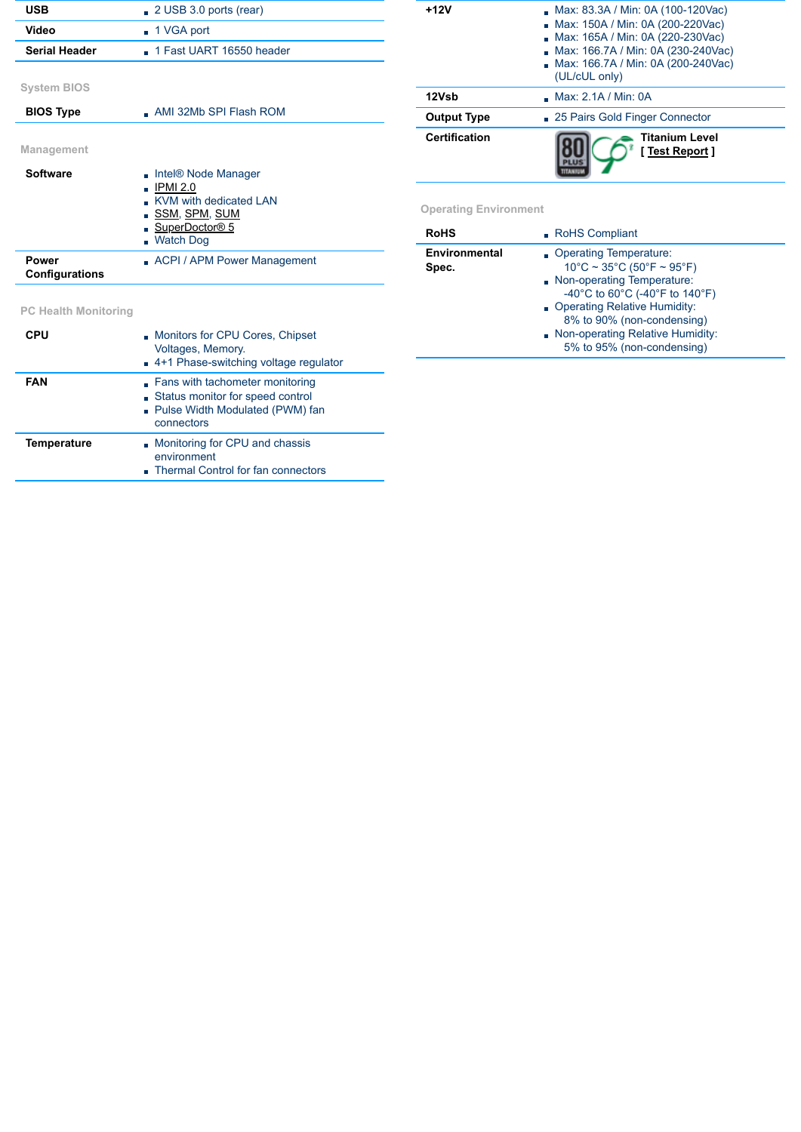| <b>USB</b>                     | $\Box$ 2 USB 3.0 ports (rear)                                                                                                        |  |  |  |  |
|--------------------------------|--------------------------------------------------------------------------------------------------------------------------------------|--|--|--|--|
| Video                          | ■ 1 VGA port                                                                                                                         |  |  |  |  |
| <b>Serial Header</b>           | 1 Fast UART 16550 header                                                                                                             |  |  |  |  |
|                                |                                                                                                                                      |  |  |  |  |
| <b>System BIOS</b>             |                                                                                                                                      |  |  |  |  |
| <b>BIOS Type</b>               | $\blacksquare$ AMI 32Mb SPI Flash ROM                                                                                                |  |  |  |  |
|                                |                                                                                                                                      |  |  |  |  |
| Management                     |                                                                                                                                      |  |  |  |  |
| Software                       | Intel® Node Manager<br><b>IPMI 2.0</b><br>H<br>KVM with dedicated I AN<br><u>SSM, SPM, SUM</u><br>SuperDoctor® 5<br><b>Watch Dog</b> |  |  |  |  |
| <b>Power</b><br>Configurations | ACPI / APM Power Management                                                                                                          |  |  |  |  |
|                                |                                                                                                                                      |  |  |  |  |
| <b>PC Health Monitoring</b>    |                                                                                                                                      |  |  |  |  |
| <b>CPU</b>                     | Monitors for CPU Cores, Chipset<br>ä,<br>Voltages, Memory.<br>4+1 Phase-switching voltage regulator                                  |  |  |  |  |

| $+12V$               | Max: 83.3A / Min: 0A (100-120Vac)<br>Max: 150A / Min: 0A (200-220Vac)<br>Max: 165A / Min: 0A (220-230Vac)<br>Max: 166.7A / Min: 0A (230-240Vac)<br>Max: 166.7A / Min: 0A (200-240Vac)<br>(UL/cUL only) |  |  |  |
|----------------------|--------------------------------------------------------------------------------------------------------------------------------------------------------------------------------------------------------|--|--|--|
| 12Vsb                | Max: 2.1A / Min: 0A                                                                                                                                                                                    |  |  |  |
| <b>Output Type</b>   | 25 Pairs Gold Finger Connector                                                                                                                                                                         |  |  |  |
| <b>Certification</b> | <b>Titanium Level</b><br>[Test Report]                                                                                                                                                                 |  |  |  |

**Operating Environment**

| <b>RoHS</b>            | RoHS Compliant                                                                                                                                                                                                                                               |  |  |  |
|------------------------|--------------------------------------------------------------------------------------------------------------------------------------------------------------------------------------------------------------------------------------------------------------|--|--|--|
| Environmental<br>Spec. | Operating Temperature:<br>$10^{\circ}$ C ~ 35°C (50°F ~ 95°F)<br>Non-operating Temperature:<br>-40°C to 60°C (-40°F to 140°F)<br>Derating Relative Humidity:<br>8% to 90% (non-condensing)<br>Non-operating Relative Humidity:<br>5% to 95% (non-condensing) |  |  |  |

| CPU                | <b>Monitors for CPU Cores, Chipset</b><br>Voltages, Memory.<br>4+1 Phase-switching voltage regulator                 |
|--------------------|----------------------------------------------------------------------------------------------------------------------|
| <b>FAN</b>         | Fans with tachometer monitoring<br>Status monitor for speed control<br>Pulse Width Modulated (PWM) fan<br>connectors |
| <b>Temperature</b> | Monitoring for CPU and chassis<br>environment<br>Thermal Control for fan connectors                                  |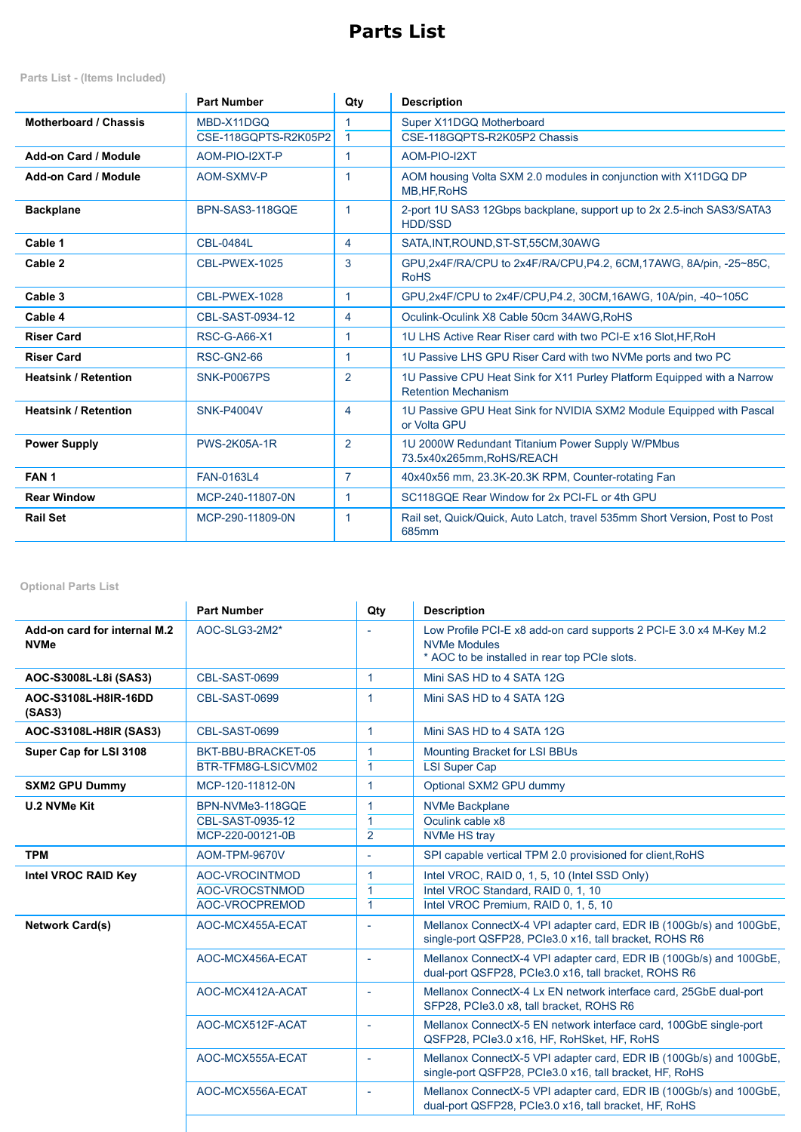# **Parts List**

**Parts List - (Items Included)**

|                             | <b>Part Number</b>   | Qty                  | <b>Description</b>                                                                                    |
|-----------------------------|----------------------|----------------------|-------------------------------------------------------------------------------------------------------|
| Motherboard / Chassis       | MBD-X11DGQ           |                      | Super X11DGQ Motherboard                                                                              |
|                             | CSE-118GQPTS-R2K05P2 | $\blacktriangleleft$ | CSE-118GQPTS-R2K05P2 Chassis                                                                          |
| Add-on Card / Module        | AOM-PIO-I2XT-P       | $\mathbf{1}$         | AOM-PIO-I2XT                                                                                          |
| Add-on Card / Module        | AOM-SXMV-P           | 1                    | AOM housing Volta SXM 2.0 modules in conjunction with X11DGQ DP<br>MB, HF, RoHS                       |
| <b>Backplane</b>            | BPN-SAS3-118GOE      | $\mathbf{1}$         | 2-port 1U SAS3 12Gbps backplane, support up to 2x 2.5-inch SAS3/SATA3<br><b>HDD/SSD</b>               |
| Cable 1                     | <b>CBL-0484L</b>     | 4                    | SATA, INT, ROUND, ST-ST, 55CM, 30AWG                                                                  |
| Cable 2                     | CBL-PWEX-1025        | 3                    | GPU,2x4F/RA/CPU to 2x4F/RA/CPU,P4.2, 6CM,17AWG, 8A/pin, -25~85C,<br><b>RoHS</b>                       |
| Cable 3                     | CBL-PWEX-1028        | 1                    | GPU,2x4F/CPU to 2x4F/CPU,P4.2, 30CM,16AWG, 10A/pin, -40~105C                                          |
| Cable 4                     | CBL-SAST-0934-12     | 4                    | Oculink-Oculink X8 Cable 50cm 34AWG, RoHS                                                             |
| <b>Riser Card</b>           | <b>RSC-G-A66-X1</b>  | 1                    | 1U LHS Active Rear Riser card with two PCI-E x16 Slot.HF.RoH                                          |
| <b>Riser Card</b>           | <b>RSC-GN2-66</b>    | $\mathbf{1}$         | 1U Passive LHS GPU Riser Card with two NVMe ports and two PC                                          |
| <b>Heatsink / Retention</b> | <b>SNK-P0067PS</b>   | $\overline{2}$       | 1U Passive CPU Heat Sink for X11 Purley Platform Equipped with a Narrow<br><b>Retention Mechanism</b> |
| <b>Heatsink / Retention</b> | <b>SNK-P4004V</b>    | 4                    | 1U Passive GPU Heat Sink for NVIDIA SXM2 Module Equipped with Pascal<br>or Volta GPU                  |
| <b>Power Supply</b>         | <b>PWS-2K05A-1R</b>  | $\overline{2}$       | 1U 2000W Redundant Titanium Power Supply W/PMbus<br>73.5x40x265mm.RoHS/REACH                          |
| FAN <sub>1</sub>            | <b>FAN-0163L4</b>    | $\overline{7}$       | 40x40x56 mm, 23.3K-20.3K RPM, Counter-rotating Fan                                                    |
| <b>Rear Window</b>          | MCP-240-11807-0N     | 1                    | SC118GQE Rear Window for 2x PCI-FL or 4th GPU                                                         |
| <b>Rail Set</b>             | MCP-290-11809-0N     | 1                    | Rail set, Quick/Quick, Auto Latch, travel 535mm Short Version, Post to Post<br>685mm                  |

**Optional Parts List**

|                                             | <b>Part Number</b>                                       | Qty                                         | <b>Description</b>                                                                                                                         |
|---------------------------------------------|----------------------------------------------------------|---------------------------------------------|--------------------------------------------------------------------------------------------------------------------------------------------|
| Add-on card for internal M.2<br><b>NVMe</b> | AOC-SLG3-2M2*                                            |                                             | Low Profile PCI-E x8 add-on card supports 2 PCI-E 3.0 x4 M-Key M.2<br><b>NVMe Modules</b><br>* AOC to be installed in rear top PCIe slots. |
| AOC-S3008L-L8i (SAS3)                       | CBL-SAST-0699                                            | $\blacktriangleleft$                        | Mini SAS HD to 4 SATA 12G                                                                                                                  |
| AOC-S3108L-H8IR-16DD<br>(SAS3)              | CBL-SAST-0699                                            | $\blacktriangleleft$                        | Mini SAS HD to 4 SATA 12G                                                                                                                  |
| AOC-S3108L-H8IR (SAS3)                      | CBL-SAST-0699                                            | $\blacktriangleleft$                        | Mini SAS HD to 4 SATA 12G                                                                                                                  |
| Super Cap for LSI 3108                      | BKT-BBU-BRACKET-05<br>BTR-TFM8G-LSICVM02                 | $\mathbf{1}$<br>$\mathbf{1}$                | Mounting Bracket for LSI BBUs<br><b>LSI Super Cap</b>                                                                                      |
| <b>SXM2 GPU Dummy</b>                       | MCP-120-11812-0N                                         | $\mathbf{1}$                                | Optional SXM2 GPU dummy                                                                                                                    |
| <b>U.2 NVMe Kit</b>                         | BPN-NVMe3-118GOE<br>CBL-SAST-0935-12<br>MCP-220-00121-0B | 1<br>$\blacktriangleleft$<br>$\overline{2}$ | <b>NVMe Backplane</b><br>Oculink cable x8<br><b>NVMe HS tray</b>                                                                           |
| <b>TPM</b>                                  | AOM-TPM-9670V                                            | $\sim$                                      | SPI capable vertical TPM 2.0 provisioned for client, RoHS                                                                                  |
| Intel VROC RAID Key                         | AOC-VROCINTMOD<br>AOC-VROCSTNMOD<br>AOC-VROCPREMOD       | $\overline{1}$<br>1<br>$\overline{1}$       | Intel VROC, RAID 0, 1, 5, 10 (Intel SSD Only)<br>Intel VROC Standard, RAID 0, 1, 10<br>Intel VROC Premium, RAID 0, 1, 5, 10                |
| <b>Network Card(s)</b>                      | AOC-MCX455A-ECAT                                         | à.                                          | Mellanox ConnectX-4 VPI adapter card, EDR IB (100Gb/s) and 100GbE,<br>single-port QSFP28, PCle3.0 x16, tall bracket, ROHS R6               |
|                                             | AOC-MCX456A-ECAT                                         | $\sim$                                      | Mellanox ConnectX-4 VPI adapter card, EDR IB (100Gb/s) and 100GbE,<br>dual-port QSFP28, PCle3.0 x16, tall bracket, ROHS R6                 |
|                                             | AOC-MCX412A-ACAT                                         | $\sim$                                      | Mellanox ConnectX-4 Lx EN network interface card, 25GbE dual-port<br>SFP28, PCIe3.0 x8, tall bracket, ROHS R6                              |
|                                             | AOC-MCX512F-ACAT                                         | $\sim$                                      | Mellanox ConnectX-5 EN network interface card, 100GbE single-port<br>QSFP28, PCle3.0 x16, HF, RoHSket, HF, RoHS                            |
|                                             | AOC-MCX555A-ECAT                                         | à,                                          | Mellanox ConnectX-5 VPI adapter card, EDR IB (100Gb/s) and 100GbE,<br>single-port QSFP28, PCle3.0 x16, tall bracket, HF, RoHS              |
|                                             | AOC-MCX556A-ECAT                                         | $\sim$                                      | Mellanox ConnectX-5 VPI adapter card, EDR IB (100Gb/s) and 100GbE,<br>dual-port QSFP28, PCle3.0 x16, tall bracket, HF, RoHS                |
|                                             |                                                          |                                             |                                                                                                                                            |